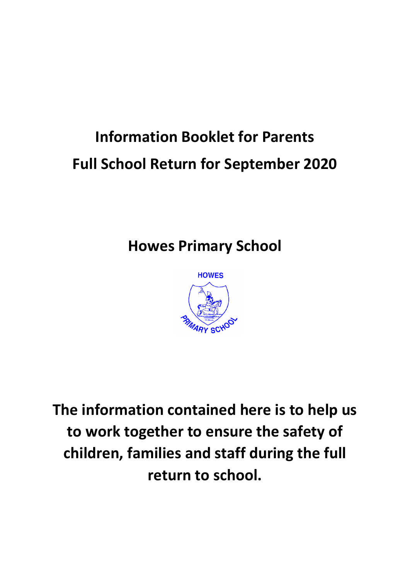# **Information Booklet for Parents Full School Return for September 2020**

# **Howes Primary School**



**The information contained here is to help us to work together to ensure the safety of children, families and staff during the full return to school.**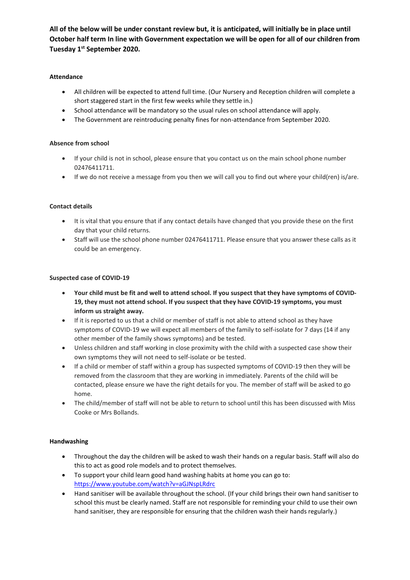**All of the below will be under constant review but, it is anticipated, will initially be in place until October half term In line with Government expectation we will be open for all of our children from Tuesday 1st September 2020.**

# **Attendance**

- All children will be expected to attend full time. (Our Nursery and Reception children will complete a short staggered start in the first few weeks while they settle in.)
- School attendance will be mandatory so the usual rules on school attendance will apply.
- The Government are reintroducing penalty fines for non-attendance from September 2020.

# **Absence from school**

- If your child is not in school, please ensure that you contact us on the main school phone number 02476411711.
- If we do not receive a message from you then we will call you to find out where your child(ren) is/are.

# **Contact details**

- It is vital that you ensure that if any contact details have changed that you provide these on the first day that your child returns.
- Staff will use the school phone number 02476411711. Please ensure that you answer these calls as it could be an emergency.

#### **Suspected case of COVID-19**

- Your child must be fit and well to attend school. If you suspect that they have symptoms of COVID-**19, they must not attend school. If you suspect that they have COVID-19 symptoms, you must inform us straight away.**
- If it is reported to us that a child or member of staff is not able to attend school as they have symptoms of COVID-19 we will expect all members of the family to self-isolate for 7 days (14 if any other member of the family shows symptoms) and be tested.
- Unless children and staff working in close proximity with the child with a suspected case show their own symptoms they will not need to self-isolate or be tested.
- If a child or member of staff within a group has suspected symptoms of COVID-19 then they will be removed from the classroom that they are working in immediately. Parents of the child will be contacted, please ensure we have the right details for you. The member of staff will be asked to go home.
- The child/member of staff will not be able to return to school until this has been discussed with Miss Cooke or Mrs Bollands.

# **Handwashing**

- Throughout the day the children will be asked to wash their hands on a regular basis. Staff will also do this to act as good role models and to protect themselves.
- To support your child learn good hand washing habits at home you can go to: <https://www.youtube.com/watch?v=aGJNspLRdrc>
- Hand sanitiser will be available throughout the school. (If your child brings their own hand sanitiser to school this must be clearly named. Staff are not responsible for reminding your child to use their own hand sanitiser, they are responsible for ensuring that the children wash their hands regularly.)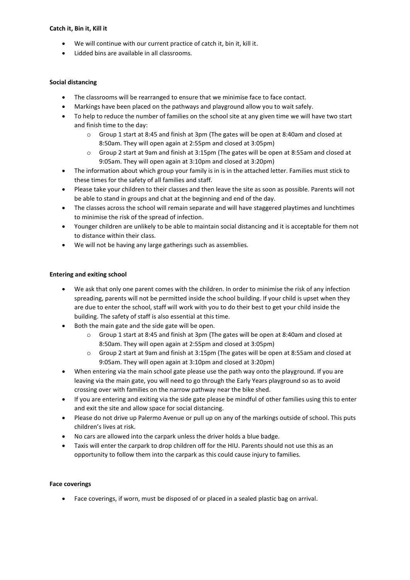#### **Catch it, Bin it, Kill it**

- We will continue with our current practice of catch it, bin it, kill it.
- Lidded bins are available in all classrooms.

#### **Social distancing**

- The classrooms will be rearranged to ensure that we minimise face to face contact.
- Markings have been placed on the pathways and playground allow you to wait safely.
- To help to reduce the number of families on the school site at any given time we will have two start and finish time to the day:
	- o Group 1 start at 8:45 and finish at 3pm (The gates will be open at 8:40am and closed at 8:50am. They will open again at 2:55pm and closed at 3:05pm)
	- o Group 2 start at 9am and finish at 3:15pm (The gates will be open at 8:55am and closed at 9:05am. They will open again at 3:10pm and closed at 3:20pm)
- The information about which group your family is in is in the attached letter. Families must stick to these times for the safety of all families and staff.
- Please take your children to their classes and then leave the site as soon as possible. Parents will not be able to stand in groups and chat at the beginning and end of the day.
- The classes across the school will remain separate and will have staggered playtimes and lunchtimes to minimise the risk of the spread of infection.
- Younger children are unlikely to be able to maintain social distancing and it is acceptable for them not to distance within their class.
- We will not be having any large gatherings such as assemblies.

#### **Entering and exiting school**

- We ask that only one parent comes with the children. In order to minimise the risk of any infection spreading, parents will not be permitted inside the school building. If your child is upset when they are due to enter the school, staff will work with you to do their best to get your child inside the building. The safety of staff is also essential at this time.
- Both the main gate and the side gate will be open.
	- o Group 1 start at 8:45 and finish at 3pm (The gates will be open at 8:40am and closed at 8:50am. They will open again at 2:55pm and closed at 3:05pm)
	- o Group 2 start at 9am and finish at 3:15pm (The gates will be open at 8:55am and closed at 9:05am. They will open again at 3:10pm and closed at 3:20pm)
- When entering via the main school gate please use the path way onto the playground. If you are leaving via the main gate, you will need to go through the Early Years playground so as to avoid crossing over with families on the narrow pathway near the bike shed.
- If you are entering and exiting via the side gate please be mindful of other families using this to enter and exit the site and allow space for social distancing.
- Please do not drive up Palermo Avenue or pull up on any of the markings outside of school. This puts children's lives at risk.
- No cars are allowed into the carpark unless the driver holds a blue badge.
- Taxis will enter the carpark to drop children off for the HIU. Parents should not use this as an opportunity to follow them into the carpark as this could cause injury to families.

#### **Face coverings**

Face coverings, if worn, must be disposed of or placed in a sealed plastic bag on arrival.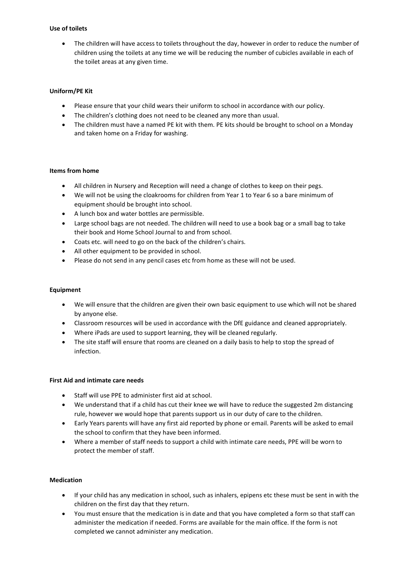#### **Use of toilets**

 The children will have access to toilets throughout the day, however in order to reduce the number of children using the toilets at any time we will be reducing the number of cubicles available in each of the toilet areas at any given time.

# **Uniform/PE Kit**

- Please ensure that your child wears their uniform to school in accordance with our policy.
- The children's clothing does not need to be cleaned any more than usual.
- The children must have a named PE kit with them. PE kits should be brought to school on a Monday and taken home on a Friday for washing.

#### **Items from home**

- All children in Nursery and Reception will need a change of clothes to keep on their pegs.
- We will not be using the cloakrooms for children from Year 1 to Year 6 so a bare minimum of equipment should be brought into school.
- A lunch box and water bottles are permissible.
- Large school bags are not needed. The children will need to use a book bag or a small bag to take their book and Home School Journal to and from school.
- Coats etc. will need to go on the back of the children's chairs.
- All other equipment to be provided in school.
- Please do not send in any pencil cases etc from home as these will not be used.

#### **Equipment**

- We will ensure that the children are given their own basic equipment to use which will not be shared by anyone else.
- Classroom resources will be used in accordance with the DfE guidance and cleaned appropriately.
- Where iPads are used to support learning, they will be cleaned regularly.
- The site staff will ensure that rooms are cleaned on a daily basis to help to stop the spread of infection.

#### **First Aid and intimate care needs**

- Staff will use PPE to administer first aid at school.
- We understand that if a child has cut their knee we will have to reduce the suggested 2m distancing rule, however we would hope that parents support us in our duty of care to the children.
- Early Years parents will have any first aid reported by phone or email. Parents will be asked to email the school to confirm that they have been informed.
- Where a member of staff needs to support a child with intimate care needs, PPE will be worn to protect the member of staff.

#### **Medication**

- If your child has any medication in school, such as inhalers, epipens etc these must be sent in with the children on the first day that they return.
- You must ensure that the medication is in date and that you have completed a form so that staff can administer the medication if needed. Forms are available for the main office. If the form is not completed we cannot administer any medication.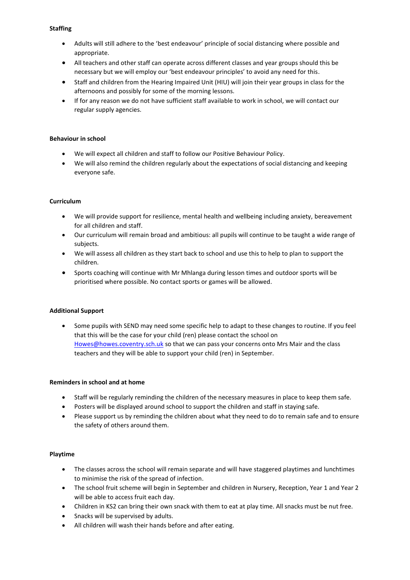#### **Staffing**

- Adults will still adhere to the 'best endeavour' principle of social distancing where possible and appropriate.
- All teachers and other staff can operate across different classes and year groups should this be necessary but we will employ our 'best endeavour principles' to avoid any need for this.
- Staff and children from the Hearing Impaired Unit (HIU) will join their year groups in class for the afternoons and possibly for some of the morning lessons.
- If for any reason we do not have sufficient staff available to work in school, we will contact our regular supply agencies.

# **Behaviour in school**

- We will expect all children and staff to follow our Positive Behaviour Policy.
- We will also remind the children regularly about the expectations of social distancing and keeping everyone safe.

# **Curriculum**

- We will provide support for resilience, mental health and wellbeing including anxiety, bereavement for all children and staff.
- Our curriculum will remain broad and ambitious: all pupils will continue to be taught a wide range of subjects.
- We will assess all children as they start back to school and use this to help to plan to support the children.
- Sports coaching will continue with Mr Mhlanga during lesson times and outdoor sports will be prioritised where possible. No contact sports or games will be allowed.

#### **Additional Support**

 Some pupils with SEND may need some specific help to adapt to these changes to routine. If you feel that this will be the case for your child (ren) please contact the school on [Howes@howes.coventry.sch.uk](mailto:Howes@howes.coventry.sch.uk) so that we can pass your concerns onto Mrs Mair and the class teachers and they will be able to support your child (ren) in September.

#### **Reminders in school and at home**

- Staff will be regularly reminding the children of the necessary measures in place to keep them safe.
- Posters will be displayed around school to support the children and staff in staying safe.
- Please support us by reminding the children about what they need to do to remain safe and to ensure the safety of others around them.

#### **Playtime**

- The classes across the school will remain separate and will have staggered playtimes and lunchtimes to minimise the risk of the spread of infection.
- The school fruit scheme will begin in September and children in Nursery, Reception, Year 1 and Year 2 will be able to access fruit each day.
- Children in KS2 can bring their own snack with them to eat at play time. All snacks must be nut free.
- Snacks will be supervised by adults.
- All children will wash their hands before and after eating.